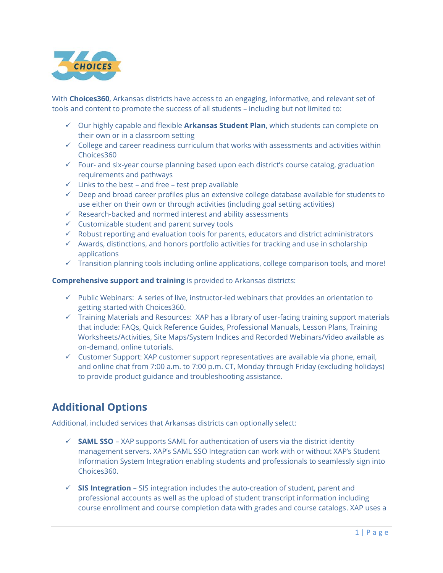

With **Choices360**, Arkansas districts have access to an engaging, informative, and relevant set of tools and content to promote the success of all students – including but not limited to:

- ✓ Our highly capable and flexible **Arkansas Student Plan**, which students can complete on their own or in a classroom setting
- $\checkmark$  College and career readiness curriculum that works with assessments and activities within Choices360
- $\checkmark$  Four- and six-year course planning based upon each district's course catalog, graduation requirements and pathways
- $\checkmark$  Links to the best and free test prep available
- $\checkmark$  Deep and broad career profiles plus an extensive college database available for students to use either on their own or through activities (including goal setting activities)
- ✓ Research-backed and normed interest and ability assessments
- $\checkmark$  Customizable student and parent survey tools
- $\checkmark$  Robust reporting and evaluation tools for parents, educators and district administrators
- $\checkmark$  Awards, distinctions, and honors portfolio activities for tracking and use in scholarship applications
- $\checkmark$  Transition planning tools including online applications, college comparison tools, and more!

**Comprehensive support and training** is provided to Arkansas districts:

- ✓ Public Webinars: A series of live, instructor-led webinars that provides an orientation to getting started with Choices360.
- ✓ Training Materials and Resources: XAP has a library of user-facing training support materials that include: FAQs, Quick Reference Guides, Professional Manuals, Lesson Plans, Training Worksheets/Activities, Site Maps/System Indices and Recorded Webinars/Video available as on-demand, online tutorials.
- $\checkmark$  Customer Support: XAP customer support representatives are available via phone, email, and online chat from 7:00 a.m. to 7:00 p.m. CT, Monday through Friday (excluding holidays) to provide product guidance and troubleshooting assistance.

# **Additional Options**

Additional, included services that Arkansas districts can optionally select:

- $\checkmark$  **SAML SSO** XAP supports SAML for authentication of users via the district identity management servers. XAP's SAML SSO Integration can work with or without XAP's Student Information System Integration enabling students and professionals to seamlessly sign into Choices360.
- ✓ **SIS Integration** SIS integration includes the auto-creation of student, parent and professional accounts as well as the upload of student transcript information including course enrollment and course completion data with grades and course catalogs. XAP uses a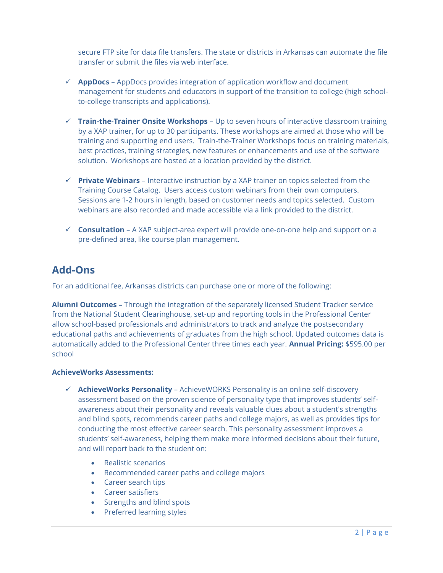secure FTP site for data file transfers. The state or districts in Arkansas can automate the file transfer or submit the files via web interface.

- ✓ **AppDocs** AppDocs provides integration of application workflow and document management for students and educators in support of the transition to college (high schoolto-college transcripts and applications).
- ✓ **Train-the-Trainer Onsite Workshops** Up to seven hours of interactive classroom training by a XAP trainer, for up to 30 participants. These workshops are aimed at those who will be training and supporting end users. Train-the-Trainer Workshops focus on training materials, best practices, training strategies, new features or enhancements and use of the software solution. Workshops are hosted at a location provided by the district.
- ✓ **Private Webinars** Interactive instruction by a XAP trainer on topics selected from the Training Course Catalog. Users access custom webinars from their own computers. Sessions are 1-2 hours in length, based on customer needs and topics selected. Custom webinars are also recorded and made accessible via a link provided to the district.
- $\checkmark$  **Consultation** A XAP subject-area expert will provide one-on-one help and support on a pre-defined area, like course plan management.

## **Add-Ons**

For an additional fee, Arkansas districts can purchase one or more of the following:

**Alumni Outcomes –** Through the integration of the separately licensed Student Tracker service from the National Student Clearinghouse, set-up and reporting tools in the Professional Center allow school-based professionals and administrators to track and analyze the postsecondary educational paths and achievements of graduates from the high school. Updated outcomes data is automatically added to the Professional Center three times each year. **Annual Pricing:** \$595.00 per school

#### **AchieveWorks Assessments:**

- ✓ **AchieveWorks Personality** AchieveWORKS Personality is an online self-discovery assessment based on the proven science of personality type that improves students' selfawareness about their personality and reveals valuable clues about a student's strengths and blind spots, recommends career paths and college majors, as well as provides tips for conducting the most effective career search. This personality assessment improves a students' self-awareness, helping them make more informed decisions about their future, and will report back to the student on:
	- Realistic scenarios
	- Recommended career paths and college majors
	- Career search tips
	- Career satisfiers
	- Strengths and blind spots
	- Preferred learning styles